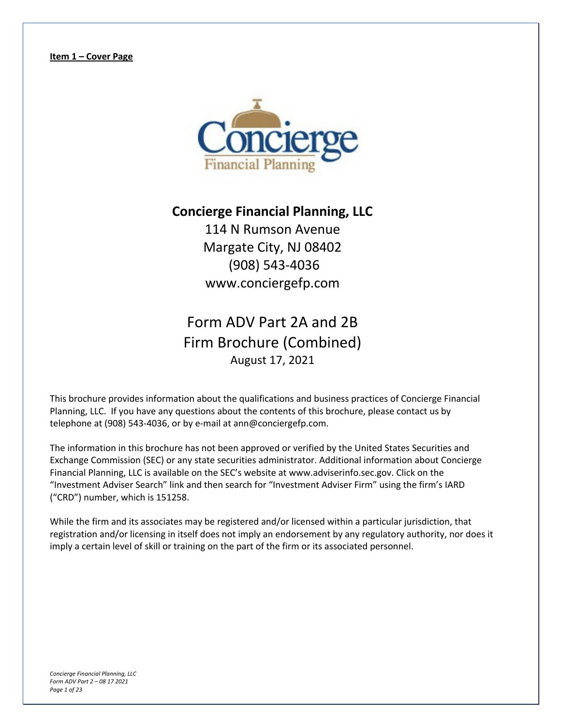

### **Concierge Financial Planning, LLC**

114 N Rumson Avenue Margate City, NJ 08402 (908) 543-4036 www.conciergefp.com

# Form ADV Part 2A and 2B Firm Brochure (Combined) August 17, 2021

This brochure provides information about the qualifications and business practices of Concierge Financial Planning, LLC. If you have any questions about the contents of this brochure, please contact us by telephone at (908) 543-4036, or by e-mail at ann@conciergefp.com.

The information in this brochure has not been approved or verified by the United States Securities and Exchange Commission (SEC) or any state securities administrator. Additional information about Concierge Financial Planning, LLC is available on the SEC's website at www.adviserinfo.sec.gov. Click on the "Investment Adviser Search" link and then search for "Investment Adviser Firm" using the firm's IARD ("CRD") number, which is 151258.

While the firm and its associates may be registered and/or licensed within a particular jurisdiction, that registration and/or licensing in itself does not imply an endorsement by any regulatory authority, nor does it imply a certain level of skill or training on the part of the firm or its associated personnel.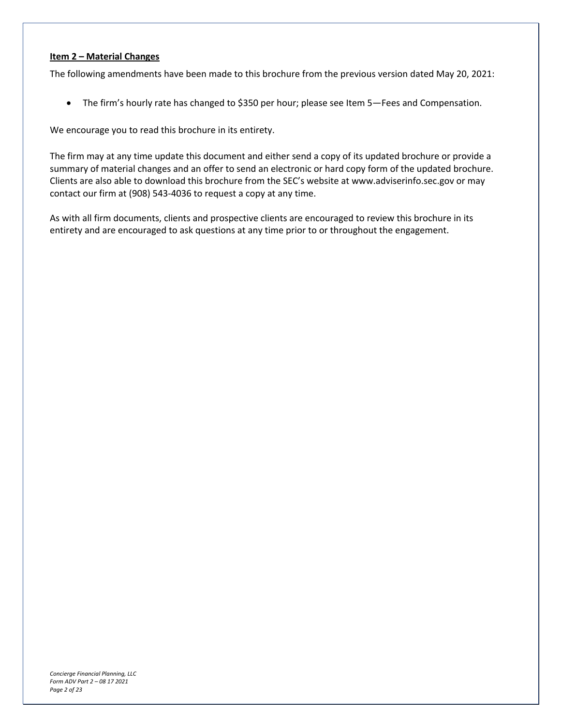#### **Item 2 – Material Changes**

The following amendments have been made to this brochure from the previous version dated May 20, 2021:

• The firm's hourly rate has changed to \$350 per hour; please see Item 5—Fees and Compensation.

We encourage you to read this brochure in its entirety.

The firm may at any time update this document and either send a copy of its updated brochure or provide a summary of material changes and an offer to send an electronic or hard copy form of the updated brochure. Clients are also able to download this brochure from the SEC's website at www.adviserinfo.sec.gov or may contact our firm at (908) 543-4036 to request a copy at any time.

As with all firm documents, clients and prospective clients are encouraged to review this brochure in its entirety and are encouraged to ask questions at any time prior to or throughout the engagement.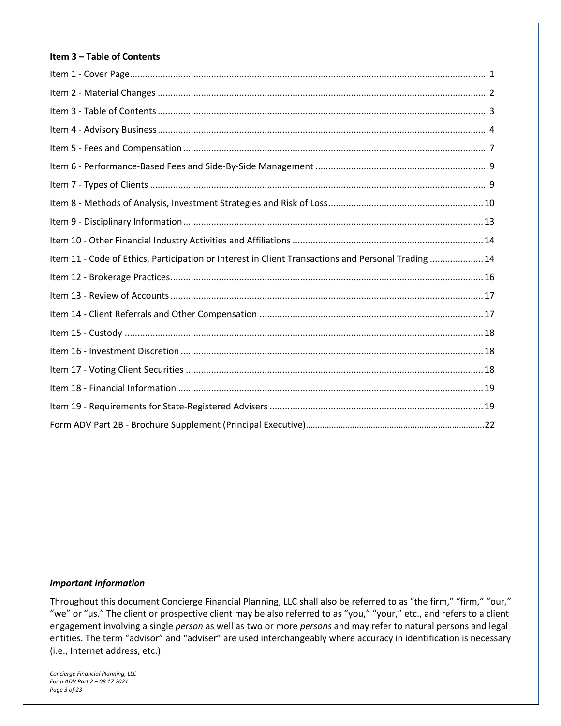#### **Item 3 – Table of Contents**

| Item 11 - Code of Ethics, Participation or Interest in Client Transactions and Personal Trading  14 |  |
|-----------------------------------------------------------------------------------------------------|--|
|                                                                                                     |  |
|                                                                                                     |  |
|                                                                                                     |  |
|                                                                                                     |  |
|                                                                                                     |  |
|                                                                                                     |  |
|                                                                                                     |  |
|                                                                                                     |  |
|                                                                                                     |  |

#### *Important Information*

Throughout this document Concierge Financial Planning, LLC shall also be referred to as "the firm," "firm," "our," "we" or "us." The client or prospective client may be also referred to as "you," "your," etc., and refers to a client engagement involving a single *person* as well as two or more *persons* and may refer to natural persons and legal entities. The term "advisor" and "adviser" are used interchangeably where accuracy in identification is necessary (i.e., Internet address, etc.).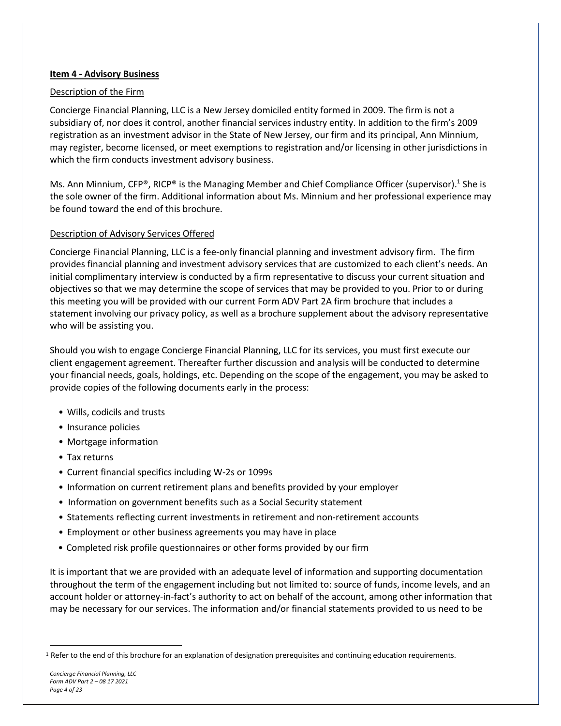#### **Item 4 - Advisory Business**

#### Description of the Firm

Concierge Financial Planning, LLC is a New Jersey domiciled entity formed in 2009. The firm is not a subsidiary of, nor does it control, another financial services industry entity. In addition to the firm's 2009 registration as an investment advisor in the State of New Jersey, our firm and its principal, Ann Minnium, may register, become licensed, or meet exemptions to registration and/or licensing in other jurisdictions in which the firm conducts investment advisory business.

Ms. Ann Minnium, CFP®, RICP® is the Managing Member and Chief Compliance Officer (supervisor).<sup>1</sup> She is the sole owner of the firm. Additional information about Ms. Minnium and her professional experience may be found toward the end of this brochure.

#### Description of Advisory Services Offered

Concierge Financial Planning, LLC is a fee-only financial planning and investment advisory firm. The firm provides financial planning and investment advisory services that are customized to each client's needs. An initial complimentary interview is conducted by a firm representative to discuss your current situation and objectives so that we may determine the scope of services that may be provided to you. Prior to or during this meeting you will be provided with our current Form ADV Part 2A firm brochure that includes a statement involving our privacy policy, as well as a brochure supplement about the advisory representative who will be assisting you.

Should you wish to engage Concierge Financial Planning, LLC for its services, you must first execute our client engagement agreement. Thereafter further discussion and analysis will be conducted to determine your financial needs, goals, holdings, etc. Depending on the scope of the engagement, you may be asked to provide copies of the following documents early in the process:

- Wills, codicils and trusts
- Insurance policies
- Mortgage information
- Tax returns
- Current financial specifics including W-2s or 1099s
- Information on current retirement plans and benefits provided by your employer
- Information on government benefits such as a Social Security statement
- Statements reflecting current investments in retirement and non-retirement accounts
- Employment or other business agreements you may have in place
- Completed risk profile questionnaires or other forms provided by our firm

It is important that we are provided with an adequate level of information and supporting documentation throughout the term of the engagement including but not limited to: source of funds, income levels, and an account holder or attorney-in-fact's authority to act on behalf of the account, among other information that may be necessary for our services. The information and/or financial statements provided to us need to be

 $1$  Refer to the end of this brochure for an explanation of designation prerequisites and continuing education requirements.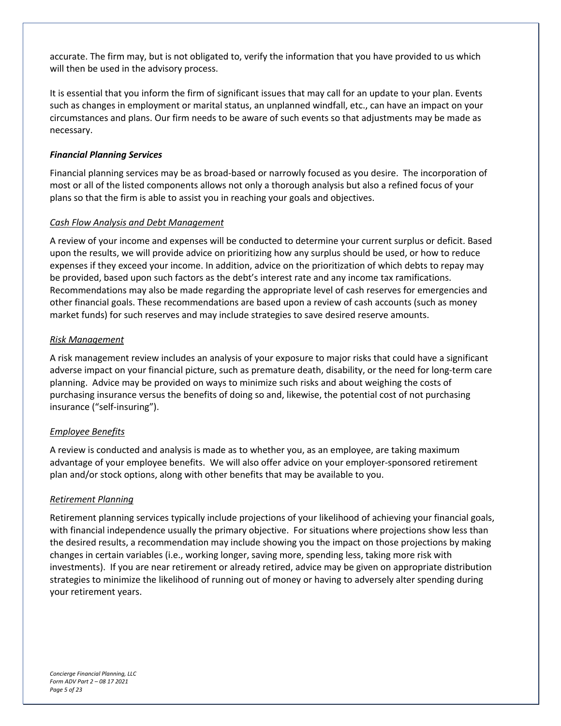accurate. The firm may, but is not obligated to, verify the information that you have provided to us which will then be used in the advisory process.

It is essential that you inform the firm of significant issues that may call for an update to your plan. Events such as changes in employment or marital status, an unplanned windfall, etc., can have an impact on your circumstances and plans. Our firm needs to be aware of such events so that adjustments may be made as necessary.

#### *Financial Planning Services*

Financial planning services may be as broad-based or narrowly focused as you desire. The incorporation of most or all of the listed components allows not only a thorough analysis but also a refined focus of your plans so that the firm is able to assist you in reaching your goals and objectives.

#### *Cash Flow Analysis and Debt Management*

A review of your income and expenses will be conducted to determine your current surplus or deficit. Based upon the results, we will provide advice on prioritizing how any surplus should be used, or how to reduce expenses if they exceed your income. In addition, advice on the prioritization of which debts to repay may be provided, based upon such factors as the debt's interest rate and any income tax ramifications. Recommendations may also be made regarding the appropriate level of cash reserves for emergencies and other financial goals. These recommendations are based upon a review of cash accounts (such as money market funds) for such reserves and may include strategies to save desired reserve amounts.

#### *Risk Management*

A risk management review includes an analysis of your exposure to major risks that could have a significant adverse impact on your financial picture, such as premature death, disability, or the need for long-term care planning. Advice may be provided on ways to minimize such risks and about weighing the costs of purchasing insurance versus the benefits of doing so and, likewise, the potential cost of not purchasing insurance ("self-insuring").

#### *Employee Benefits*

A review is conducted and analysis is made as to whether you, as an employee, are taking maximum advantage of your employee benefits. We will also offer advice on your employer-sponsored retirement plan and/or stock options, along with other benefits that may be available to you.

#### *Retirement Planning*

Retirement planning services typically include projections of your likelihood of achieving your financial goals, with financial independence usually the primary objective. For situations where projections show less than the desired results, a recommendation may include showing you the impact on those projections by making changes in certain variables (i.e., working longer, saving more, spending less, taking more risk with investments). If you are near retirement or already retired, advice may be given on appropriate distribution strategies to minimize the likelihood of running out of money or having to adversely alter spending during your retirement years.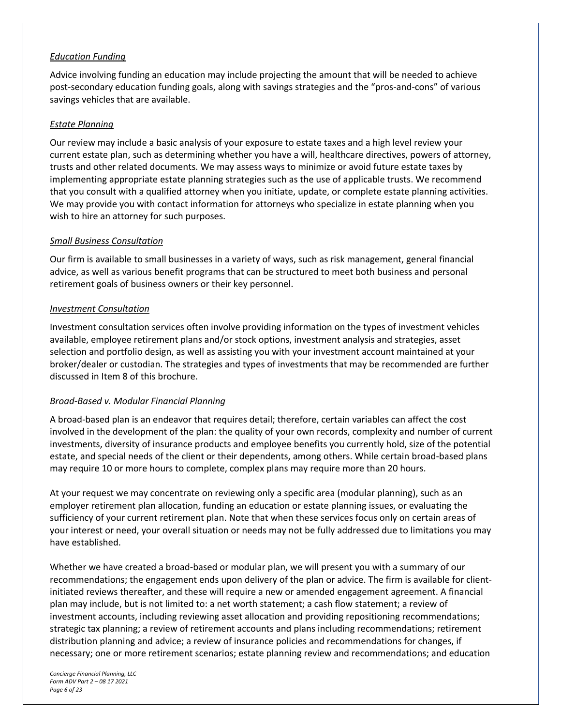#### *Education Funding*

Advice involving funding an education may include projecting the amount that will be needed to achieve post-secondary education funding goals, along with savings strategies and the "pros-and-cons" of various savings vehicles that are available.

#### *Estate Planning*

Our review may include a basic analysis of your exposure to estate taxes and a high level review your current estate plan, such as determining whether you have a will, healthcare directives, powers of attorney, trusts and other related documents. We may assess ways to minimize or avoid future estate taxes by implementing appropriate estate planning strategies such as the use of applicable trusts. We recommend that you consult with a qualified attorney when you initiate, update, or complete estate planning activities. We may provide you with contact information for attorneys who specialize in estate planning when you wish to hire an attorney for such purposes.

#### *Small Business Consultation*

Our firm is available to small businesses in a variety of ways, such as risk management, general financial advice, as well as various benefit programs that can be structured to meet both business and personal retirement goals of business owners or their key personnel.

#### *Investment Consultation*

Investment consultation services often involve providing information on the types of investment vehicles available, employee retirement plans and/or stock options, investment analysis and strategies, asset selection and portfolio design, as well as assisting you with your investment account maintained at your broker/dealer or custodian. The strategies and types of investments that may be recommended are further discussed in Item 8 of this brochure.

#### *Broad-Based v. Modular Financial Planning*

A broad-based plan is an endeavor that requires detail; therefore, certain variables can affect the cost involved in the development of the plan: the quality of your own records, complexity and number of current investments, diversity of insurance products and employee benefits you currently hold, size of the potential estate, and special needs of the client or their dependents, among others. While certain broad-based plans may require 10 or more hours to complete, complex plans may require more than 20 hours.

At your request we may concentrate on reviewing only a specific area (modular planning), such as an employer retirement plan allocation, funding an education or estate planning issues, or evaluating the sufficiency of your current retirement plan. Note that when these services focus only on certain areas of your interest or need, your overall situation or needs may not be fully addressed due to limitations you may have established.

Whether we have created a broad-based or modular plan, we will present you with a summary of our recommendations; the engagement ends upon delivery of the plan or advice. The firm is available for clientinitiated reviews thereafter, and these will require a new or amended engagement agreement. A financial plan may include, but is not limited to: a net worth statement; a cash flow statement; a review of investment accounts, including reviewing asset allocation and providing repositioning recommendations; strategic tax planning; a review of retirement accounts and plans including recommendations; retirement distribution planning and advice; a review of insurance policies and recommendations for changes, if necessary; one or more retirement scenarios; estate planning review and recommendations; and education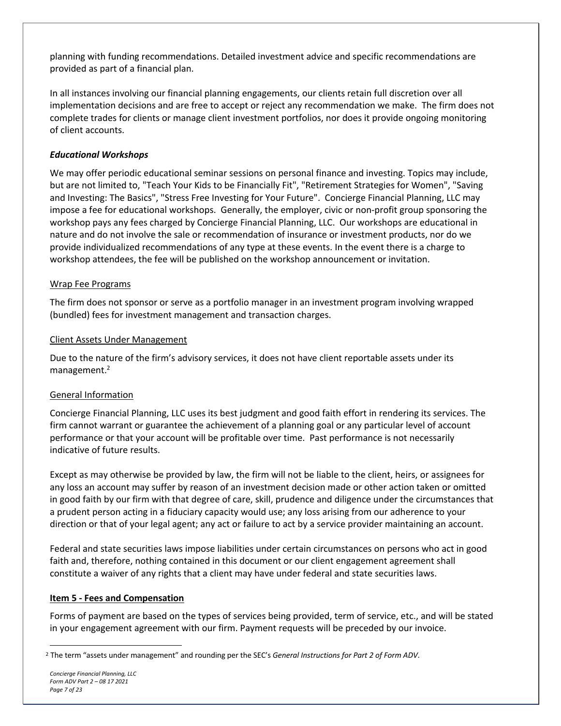planning with funding recommendations. Detailed investment advice and specific recommendations are provided as part of a financial plan.

In all instances involving our financial planning engagements, our clients retain full discretion over all implementation decisions and are free to accept or reject any recommendation we make. The firm does not complete trades for clients or manage client investment portfolios, nor does it provide ongoing monitoring of client accounts.

#### *Educational Workshops*

We may offer periodic educational seminar sessions on personal finance and investing. Topics may include, but are not limited to, "Teach Your Kids to be Financially Fit", "Retirement Strategies for Women", "Saving and Investing: The Basics", "Stress Free Investing for Your Future". Concierge Financial Planning, LLC may impose a fee for educational workshops. Generally, the employer, civic or non-profit group sponsoring the workshop pays any fees charged by Concierge Financial Planning, LLC. Our workshops are educational in nature and do not involve the sale or recommendation of insurance or investment products, nor do we provide individualized recommendations of any type at these events. In the event there is a charge to workshop attendees, the fee will be published on the workshop announcement or invitation.

#### Wrap Fee Programs

The firm does not sponsor or serve as a portfolio manager in an investment program involving wrapped (bundled) fees for investment management and transaction charges.

#### Client Assets Under Management

Due to the nature of the firm's advisory services, it does not have client reportable assets under its management.<sup>2</sup>

#### General Information

Concierge Financial Planning, LLC uses its best judgment and good faith effort in rendering its services. The firm cannot warrant or guarantee the achievement of a planning goal or any particular level of account performance or that your account will be profitable over time. Past performance is not necessarily indicative of future results.

Except as may otherwise be provided by law, the firm will not be liable to the client, heirs, or assignees for any loss an account may suffer by reason of an investment decision made or other action taken or omitted in good faith by our firm with that degree of care, skill, prudence and diligence under the circumstances that a prudent person acting in a fiduciary capacity would use; any loss arising from our adherence to your direction or that of your legal agent; any act or failure to act by a service provider maintaining an account.

Federal and state securities laws impose liabilities under certain circumstances on persons who act in good faith and, therefore, nothing contained in this document or our client engagement agreement shall constitute a waiver of any rights that a client may have under federal and state securities laws.

#### **Item 5 - Fees and Compensation**

Forms of payment are based on the types of services being provided, term of service, etc., and will be stated in your engagement agreement with our firm. Payment requests will be preceded by our invoice.

<sup>2</sup> The term "assets under management" and rounding per the SEC's *General Instructions for Part 2 of Form ADV*.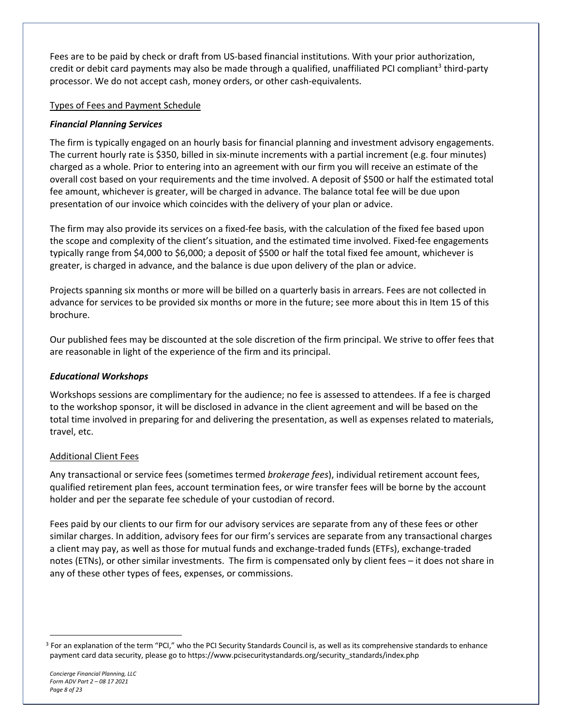Fees are to be paid by check or draft from US-based financial institutions. With your prior authorization, credit or debit card payments may also be made through a qualified, unaffiliated PCI compliant<sup>3</sup> third-party processor. We do not accept cash, money orders, or other cash-equivalents.

#### Types of Fees and Payment Schedule

#### *Financial Planning Services*

The firm is typically engaged on an hourly basis for financial planning and investment advisory engagements. The current hourly rate is \$350, billed in six-minute increments with a partial increment (e.g. four minutes) charged as a whole. Prior to entering into an agreement with our firm you will receive an estimate of the overall cost based on your requirements and the time involved. A deposit of \$500 or half the estimated total fee amount, whichever is greater, will be charged in advance. The balance total fee will be due upon presentation of our invoice which coincides with the delivery of your plan or advice.

The firm may also provide its services on a fixed-fee basis, with the calculation of the fixed fee based upon the scope and complexity of the client's situation, and the estimated time involved. Fixed-fee engagements typically range from \$4,000 to \$6,000; a deposit of \$500 or half the total fixed fee amount, whichever is greater, is charged in advance, and the balance is due upon delivery of the plan or advice.

Projects spanning six months or more will be billed on a quarterly basis in arrears. Fees are not collected in advance for services to be provided six months or more in the future; see more about this in Item 15 of this brochure.

Our published fees may be discounted at the sole discretion of the firm principal. We strive to offer fees that are reasonable in light of the experience of the firm and its principal.

#### *Educational Workshops*

Workshops sessions are complimentary for the audience; no fee is assessed to attendees. If a fee is charged to the workshop sponsor, it will be disclosed in advance in the client agreement and will be based on the total time involved in preparing for and delivering the presentation, as well as expenses related to materials, travel, etc.

#### Additional Client Fees

Any transactional or service fees (sometimes termed *brokerage fees*), individual retirement account fees, qualified retirement plan fees, account termination fees, or wire transfer fees will be borne by the account holder and per the separate fee schedule of your custodian of record.

Fees paid by our clients to our firm for our advisory services are separate from any of these fees or other similar charges. In addition, advisory fees for our firm's services are separate from any transactional charges a client may pay, as well as those for mutual funds and exchange-traded funds (ETFs), exchange-traded notes (ETNs), or other similar investments. The firm is compensated only by client fees – it does not share in any of these other types of fees, expenses, or commissions.

<sup>&</sup>lt;sup>3</sup> For an explanation of the term "PCI," who the PCI Security Standards Council is, as well as its comprehensive standards to enhance payment card data security, please go to https://www.pcisecuritystandards.org/security\_standards/index.php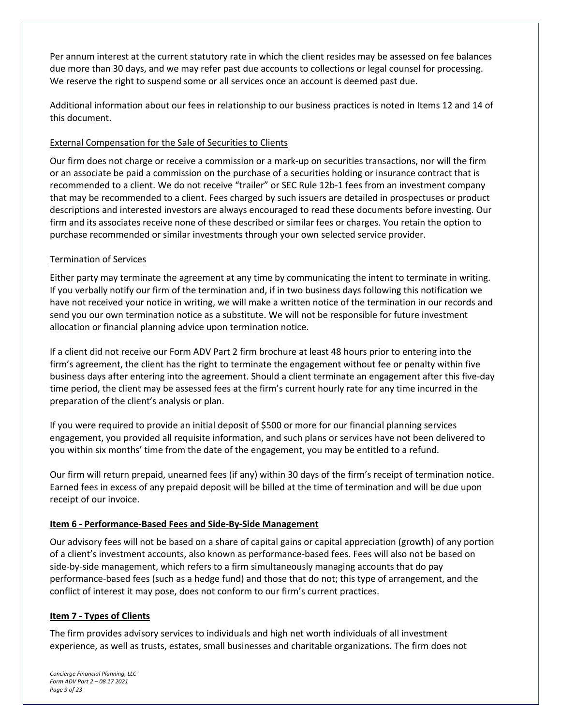Per annum interest at the current statutory rate in which the client resides may be assessed on fee balances due more than 30 days, and we may refer past due accounts to collections or legal counsel for processing. We reserve the right to suspend some or all services once an account is deemed past due.

Additional information about our fees in relationship to our business practices is noted in Items 12 and 14 of this document.

#### External Compensation for the Sale of Securities to Clients

Our firm does not charge or receive a commission or a mark-up on securities transactions, nor will the firm or an associate be paid a commission on the purchase of a securities holding or insurance contract that is recommended to a client. We do not receive "trailer" or SEC Rule 12b-1 fees from an investment company that may be recommended to a client. Fees charged by such issuers are detailed in prospectuses or product descriptions and interested investors are always encouraged to read these documents before investing. Our firm and its associates receive none of these described or similar fees or charges. You retain the option to purchase recommended or similar investments through your own selected service provider.

#### Termination of Services

Either party may terminate the agreement at any time by communicating the intent to terminate in writing. If you verbally notify our firm of the termination and, if in two business days following this notification we have not received your notice in writing, we will make a written notice of the termination in our records and send you our own termination notice as a substitute. We will not be responsible for future investment allocation or financial planning advice upon termination notice.

If a client did not receive our Form ADV Part 2 firm brochure at least 48 hours prior to entering into the firm's agreement, the client has the right to terminate the engagement without fee or penalty within five business days after entering into the agreement. Should a client terminate an engagement after this five-day time period, the client may be assessed fees at the firm's current hourly rate for any time incurred in the preparation of the client's analysis or plan.

If you were required to provide an initial deposit of \$500 or more for our financial planning services engagement, you provided all requisite information, and such plans or services have not been delivered to you within six months' time from the date of the engagement, you may be entitled to a refund.

Our firm will return prepaid, unearned fees (if any) within 30 days of the firm's receipt of termination notice. Earned fees in excess of any prepaid deposit will be billed at the time of termination and will be due upon receipt of our invoice.

#### **Item 6 - Performance-Based Fees and Side-By-Side Management**

Our advisory fees will not be based on a share of capital gains or capital appreciation (growth) of any portion of a client's investment accounts, also known as performance-based fees. Fees will also not be based on side-by-side management, which refers to a firm simultaneously managing accounts that do pay performance-based fees (such as a hedge fund) and those that do not; this type of arrangement, and the conflict of interest it may pose, does not conform to our firm's current practices.

#### **Item 7 - Types of Clients**

The firm provides advisory services to individuals and high net worth individuals of all investment experience, as well as trusts, estates, small businesses and charitable organizations. The firm does not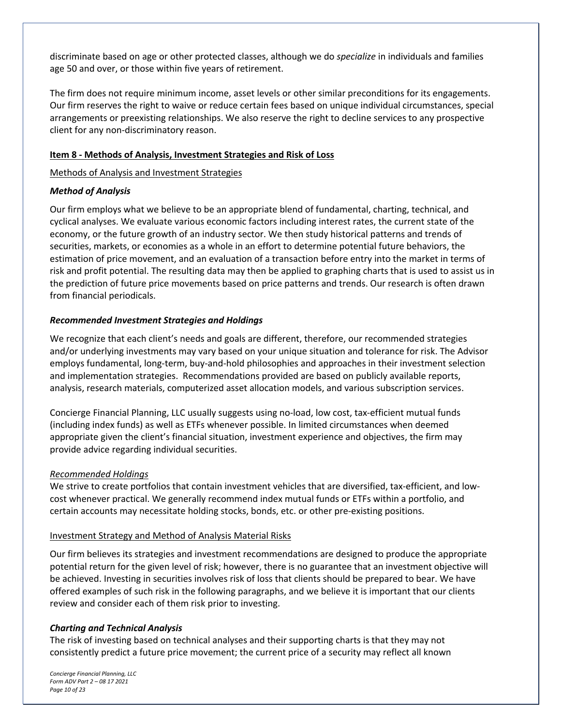discriminate based on age or other protected classes, although we do *specialize* in individuals and families age 50 and over, or those within five years of retirement.

The firm does not require minimum income, asset levels or other similar preconditions for its engagements. Our firm reserves the right to waive or reduce certain fees based on unique individual circumstances, special arrangements or preexisting relationships. We also reserve the right to decline services to any prospective client for any non-discriminatory reason.

#### **Item 8 - Methods of Analysis, Investment Strategies and Risk of Loss**

#### Methods of Analysis and Investment Strategies

#### *Method of Analysis*

Our firm employs what we believe to be an appropriate blend of fundamental, charting, technical, and cyclical analyses. We evaluate various economic factors including interest rates, the current state of the economy, or the future growth of an industry sector. We then study historical patterns and trends of securities, markets, or economies as a whole in an effort to determine potential future behaviors, the estimation of price movement, and an evaluation of a transaction before entry into the market in terms of risk and profit potential. The resulting data may then be applied to graphing charts that is used to assist us in the prediction of future price movements based on price patterns and trends. Our research is often drawn from financial periodicals.

#### *Recommended Investment Strategies and Holdings*

We recognize that each client's needs and goals are different, therefore, our recommended strategies and/or underlying investments may vary based on your unique situation and tolerance for risk. The Advisor employs fundamental, long-term, buy-and-hold philosophies and approaches in their investment selection and implementation strategies. Recommendations provided are based on publicly available reports, analysis, research materials, computerized asset allocation models, and various subscription services.

Concierge Financial Planning, LLC usually suggests using no-load, low cost, tax-efficient mutual funds (including index funds) as well as ETFs whenever possible. In limited circumstances when deemed appropriate given the client's financial situation, investment experience and objectives, the firm may provide advice regarding individual securities.

#### *Recommended Holdings*

We strive to create portfolios that contain investment vehicles that are diversified, tax-efficient, and lowcost whenever practical. We generally recommend index mutual funds or ETFs within a portfolio, and certain accounts may necessitate holding stocks, bonds, etc. or other pre-existing positions.

#### Investment Strategy and Method of Analysis Material Risks

Our firm believes its strategies and investment recommendations are designed to produce the appropriate potential return for the given level of risk; however, there is no guarantee that an investment objective will be achieved. Investing in securities involves risk of loss that clients should be prepared to bear. We have offered examples of such risk in the following paragraphs, and we believe it is important that our clients review and consider each of them risk prior to investing.

#### *Charting and Technical Analysis*

The risk of investing based on technical analyses and their supporting charts is that they may not consistently predict a future price movement; the current price of a security may reflect all known

*Concierge Financial Planning, LLC Form ADV Part 2 – 08 17 2021 Page 10 of 23*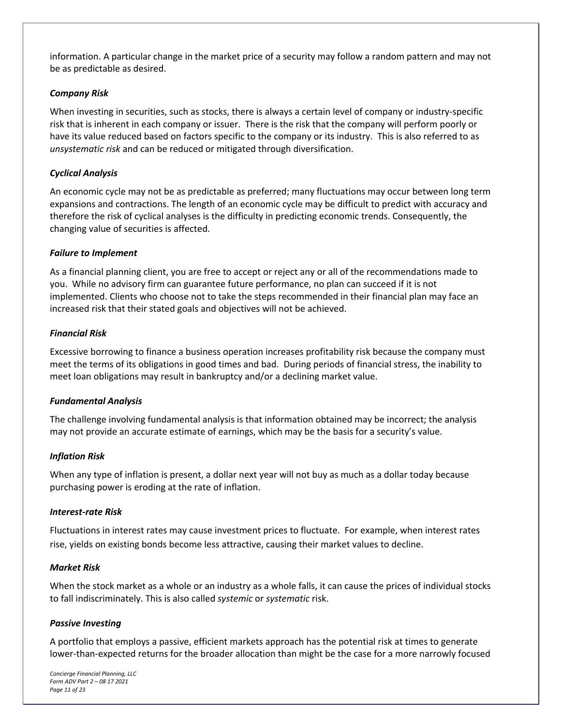information. A particular change in the market price of a security may follow a random pattern and may not be as predictable as desired.

#### *Company Risk*

When investing in securities, such as stocks, there is always a certain level of company or industry-specific risk that is inherent in each company or issuer. There is the risk that the company will perform poorly or have its value reduced based on factors specific to the company or its industry. This is also referred to as *unsystematic risk* and can be reduced or mitigated through diversification.

#### *Cyclical Analysis*

An economic cycle may not be as predictable as preferred; many fluctuations may occur between long term expansions and contractions. The length of an economic cycle may be difficult to predict with accuracy and therefore the risk of cyclical analyses is the difficulty in predicting economic trends. Consequently, the changing value of securities is affected.

#### *Failure to Implement*

As a financial planning client, you are free to accept or reject any or all of the recommendations made to you. While no advisory firm can guarantee future performance, no plan can succeed if it is not implemented. Clients who choose not to take the steps recommended in their financial plan may face an increased risk that their stated goals and objectives will not be achieved.

#### *Financial Risk*

Excessive borrowing to finance a business operation increases profitability risk because the company must meet the terms of its obligations in good times and bad. During periods of financial stress, the inability to meet loan obligations may result in bankruptcy and/or a declining market value.

#### *Fundamental Analysis*

The challenge involving fundamental analysis is that information obtained may be incorrect; the analysis may not provide an accurate estimate of earnings, which may be the basis for a security's value.

#### *Inflation Risk*

When any type of inflation is present, a dollar next year will not buy as much as a dollar today because purchasing power is eroding at the rate of inflation.

#### *Interest-rate Risk*

Fluctuations in interest rates may cause investment prices to fluctuate. For example, when interest rates rise, yields on existing bonds become less attractive, causing their market values to decline.

#### *Market Risk*

When the stock market as a whole or an industry as a whole falls, it can cause the prices of individual stocks to fall indiscriminately. This is also called *systemic* or *systematic* risk.

#### *Passive Investing*

A portfolio that employs a passive, efficient markets approach has the potential risk at times to generate lower-than-expected returns for the broader allocation than might be the case for a more narrowly focused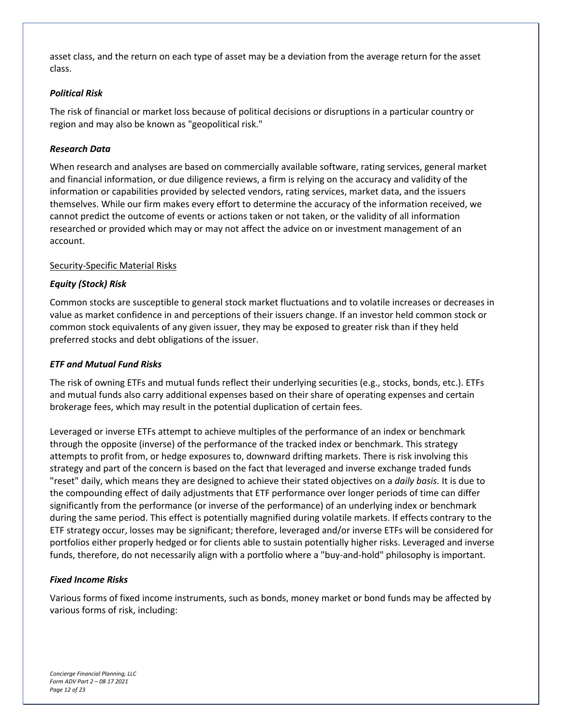asset class, and the return on each type of asset may be a deviation from the average return for the asset class.

#### *Political Risk*

The risk of financial or market loss because of political decisions or disruptions in a particular country or region and may also be known as "geopolitical risk."

#### *Research Data*

When research and analyses are based on commercially available software, rating services, general market and financial information, or due diligence reviews, a firm is relying on the accuracy and validity of the information or capabilities provided by selected vendors, rating services, market data, and the issuers themselves. While our firm makes every effort to determine the accuracy of the information received, we cannot predict the outcome of events or actions taken or not taken, or the validity of all information researched or provided which may or may not affect the advice on or investment management of an account.

#### Security-Specific Material Risks

#### *Equity (Stock) Risk*

Common stocks are susceptible to general stock market fluctuations and to volatile increases or decreases in value as market confidence in and perceptions of their issuers change. If an investor held common stock or common stock equivalents of any given issuer, they may be exposed to greater risk than if they held preferred stocks and debt obligations of the issuer.

#### *ETF and Mutual Fund Risks*

The risk of owning ETFs and mutual funds reflect their underlying securities (e.g., stocks, bonds, etc.). ETFs and mutual funds also carry additional expenses based on their share of operating expenses and certain brokerage fees, which may result in the potential duplication of certain fees.

Leveraged or inverse ETFs attempt to achieve multiples of the performance of an index or benchmark through the opposite (inverse) of the performance of the tracked index or benchmark. This strategy attempts to profit from, or hedge exposures to, downward drifting markets. There is risk involving this strategy and part of the concern is based on the fact that leveraged and inverse exchange traded funds "reset" daily, which means they are designed to achieve their stated objectives on a *daily basis.* It is due to the compounding effect of daily adjustments that ETF performance over longer periods of time can differ significantly from the performance (or inverse of the performance) of an underlying index or benchmark during the same period. This effect is potentially magnified during volatile markets. If effects contrary to the ETF strategy occur, losses may be significant; therefore, leveraged and/or inverse ETFs will be considered for portfolios either properly hedged or for clients able to sustain potentially higher risks. Leveraged and inverse funds, therefore, do not necessarily align with a portfolio where a "buy-and-hold" philosophy is important.

#### *Fixed Income Risks*

Various forms of fixed income instruments, such as bonds, money market or bond funds may be affected by various forms of risk, including: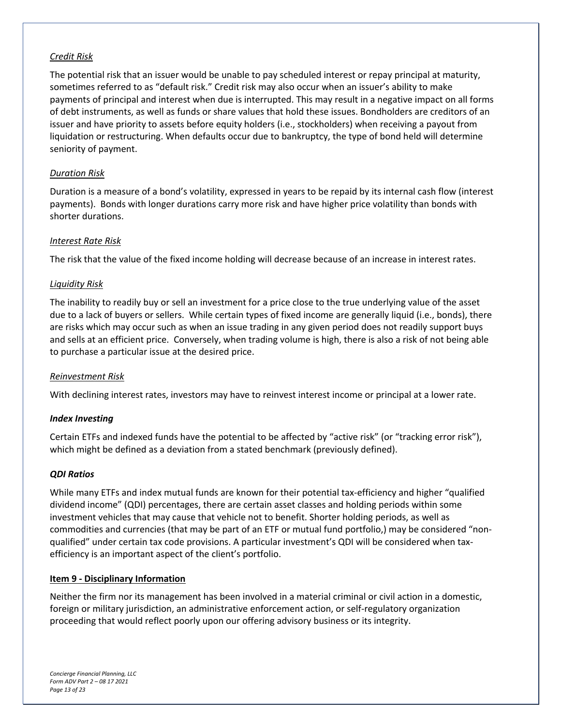#### *Credit Risk*

The potential risk that an issuer would be unable to pay scheduled interest or repay principal at maturity, sometimes referred to as "default risk." Credit risk may also occur when an issuer's ability to make payments of principal and interest when due is interrupted. This may result in a negative impact on all forms of debt instruments, as well as funds or share values that hold these issues. Bondholders are creditors of an issuer and have priority to assets before equity holders (i.e., stockholders) when receiving a payout from liquidation or restructuring. When defaults occur due to bankruptcy, the type of bond held will determine seniority of payment.

#### *Duration Risk*

Duration is a measure of a bond's volatility, expressed in years to be repaid by its internal cash flow (interest payments). Bonds with longer durations carry more risk and have higher price volatility than bonds with shorter durations.

#### *Interest Rate Risk*

The risk that the value of the fixed income holding will decrease because of an increase in interest rates.

#### *Liquidity Risk*

The inability to readily buy or sell an investment for a price close to the true underlying value of the asset due to a lack of buyers or sellers. While certain types of fixed income are generally liquid (i.e., bonds), there are risks which may occur such as when an issue trading in any given period does not readily support buys and sells at an efficient price. Conversely, when trading volume is high, there is also a risk of not being able to purchase a particular issue at the desired price.

#### *Reinvestment Risk*

With declining interest rates, investors may have to reinvest interest income or principal at a lower rate.

#### *Index Investing*

Certain ETFs and indexed funds have the potential to be affected by "active risk" (or "tracking error risk"), which might be defined as a deviation from a stated benchmark (previously defined).

#### *QDI Ratios*

While many ETFs and index mutual funds are known for their potential tax-efficiency and higher "qualified dividend income" (QDI) percentages, there are certain asset classes and holding periods within some investment vehicles that may cause that vehicle not to benefit. Shorter holding periods, as well as commodities and currencies (that may be part of an ETF or mutual fund portfolio,) may be considered "nonqualified" under certain tax code provisions. A particular investment's QDI will be considered when taxefficiency is an important aspect of the client's portfolio.

#### **Item 9 - Disciplinary Information**

Neither the firm nor its management has been involved in a material criminal or civil action in a domestic, foreign or military jurisdiction, an administrative enforcement action, or self-regulatory organization proceeding that would reflect poorly upon our offering advisory business or its integrity.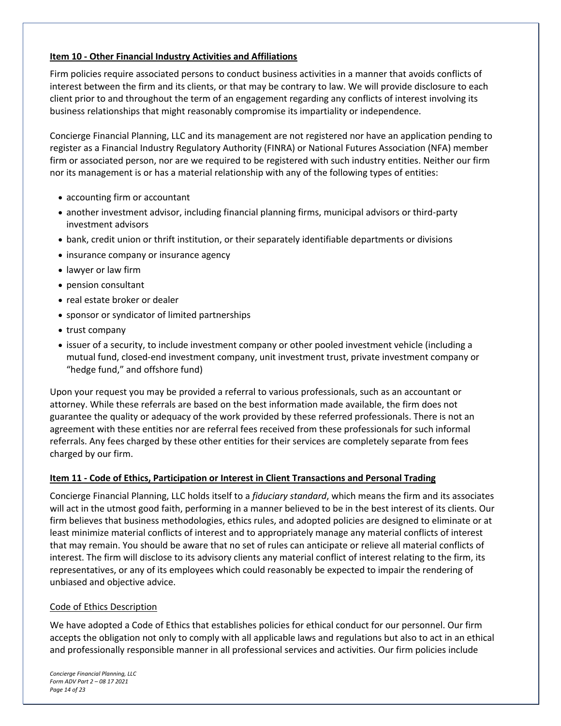#### **Item 10 - Other Financial Industry Activities and Affiliations**

Firm policies require associated persons to conduct business activities in a manner that avoids conflicts of interest between the firm and its clients, or that may be contrary to law. We will provide disclosure to each client prior to and throughout the term of an engagement regarding any conflicts of interest involving its business relationships that might reasonably compromise its impartiality or independence.

Concierge Financial Planning, LLC and its management are not registered nor have an application pending to register as a Financial Industry Regulatory Authority (FINRA) or National Futures Association (NFA) member firm or associated person, nor are we required to be registered with such industry entities. Neither our firm nor its management is or has a material relationship with any of the following types of entities:

- accounting firm or accountant
- another investment advisor, including financial planning firms, municipal advisors or third-party investment advisors
- bank, credit union or thrift institution, or their separately identifiable departments or divisions
- insurance company or insurance agency
- lawyer or law firm
- pension consultant
- real estate broker or dealer
- sponsor or syndicator of limited partnerships
- trust company
- issuer of a security, to include investment company or other pooled investment vehicle (including a mutual fund, closed-end investment company, unit investment trust, private investment company or "hedge fund," and offshore fund)

Upon your request you may be provided a referral to various professionals, such as an accountant or attorney. While these referrals are based on the best information made available, the firm does not guarantee the quality or adequacy of the work provided by these referred professionals. There is not an agreement with these entities nor are referral fees received from these professionals for such informal referrals. Any fees charged by these other entities for their services are completely separate from fees charged by our firm.

#### **Item 11 - Code of Ethics, Participation or Interest in Client Transactions and Personal Trading**

Concierge Financial Planning, LLC holds itself to a *fiduciary standard*, which means the firm and its associates will act in the utmost good faith, performing in a manner believed to be in the best interest of its clients. Our firm believes that business methodologies, ethics rules, and adopted policies are designed to eliminate or at least minimize material conflicts of interest and to appropriately manage any material conflicts of interest that may remain. You should be aware that no set of rules can anticipate or relieve all material conflicts of interest. The firm will disclose to its advisory clients any material conflict of interest relating to the firm, its representatives, or any of its employees which could reasonably be expected to impair the rendering of unbiased and objective advice.

#### Code of Ethics Description

We have adopted a Code of Ethics that establishes policies for ethical conduct for our personnel. Our firm accepts the obligation not only to comply with all applicable laws and regulations but also to act in an ethical and professionally responsible manner in all professional services and activities. Our firm policies include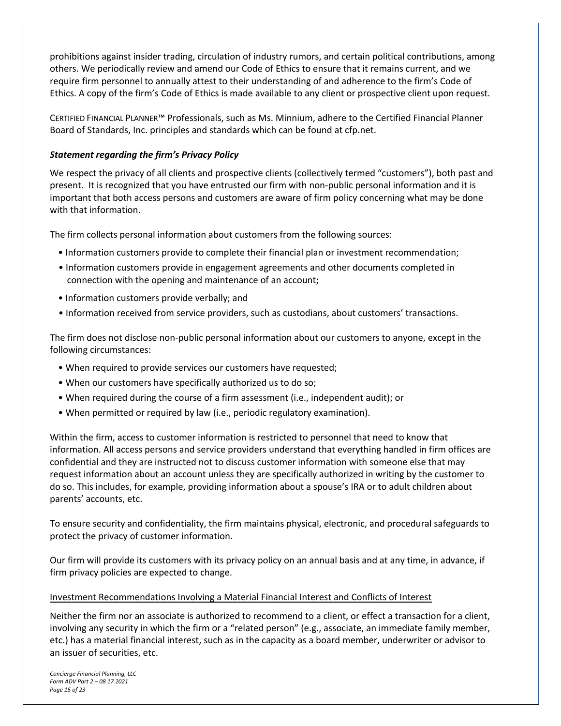prohibitions against insider trading, circulation of industry rumors, and certain political contributions, among others. We periodically review and amend our Code of Ethics to ensure that it remains current, and we require firm personnel to annually attest to their understanding of and adherence to the firm's Code of Ethics. A copy of the firm's Code of Ethics is made available to any client or prospective client upon request.

CERTIFIED FINANCIAL PLANNER™ Professionals, such as Ms. Minnium, adhere to the Certified Financial Planner Board of Standards, Inc. principles and standards which can be found at cfp.net.

#### *Statement regarding the firm's Privacy Policy*

We respect the privacy of all clients and prospective clients (collectively termed "customers"), both past and present. It is recognized that you have entrusted our firm with non-public personal information and it is important that both access persons and customers are aware of firm policy concerning what may be done with that information.

The firm collects personal information about customers from the following sources:

- Information customers provide to complete their financial plan or investment recommendation;
- Information customers provide in engagement agreements and other documents completed in connection with the opening and maintenance of an account;
- Information customers provide verbally; and
- Information received from service providers, such as custodians, about customers' transactions.

The firm does not disclose non-public personal information about our customers to anyone, except in the following circumstances:

- When required to provide services our customers have requested;
- When our customers have specifically authorized us to do so;
- When required during the course of a firm assessment (i.e., independent audit); or
- When permitted or required by law (i.e., periodic regulatory examination).

Within the firm, access to customer information is restricted to personnel that need to know that information. All access persons and service providers understand that everything handled in firm offices are confidential and they are instructed not to discuss customer information with someone else that may request information about an account unless they are specifically authorized in writing by the customer to do so. This includes, for example, providing information about a spouse's IRA or to adult children about parents' accounts, etc.

To ensure security and confidentiality, the firm maintains physical, electronic, and procedural safeguards to protect the privacy of customer information.

Our firm will provide its customers with its privacy policy on an annual basis and at any time, in advance, if firm privacy policies are expected to change.

#### Investment Recommendations Involving a Material Financial Interest and Conflicts of Interest

Neither the firm nor an associate is authorized to recommend to a client, or effect a transaction for a client, involving any security in which the firm or a "related person" (e.g., associate, an immediate family member, etc.) has a material financial interest, such as in the capacity as a board member, underwriter or advisor to an issuer of securities, etc.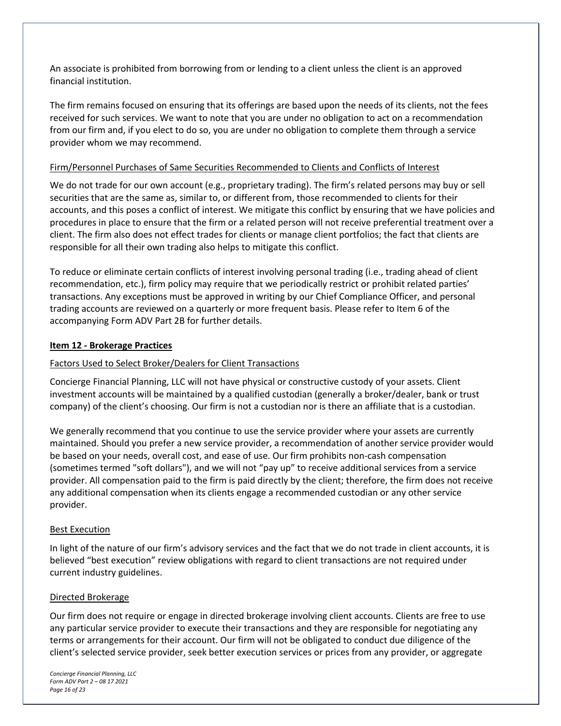An associate is prohibited from borrowing from or lending to a client unless the client is an approved financial institution.

The firm remains focused on ensuring that its offerings are based upon the needs of its clients, not the fees received for such services. We want to note that you are under no obligation to act on a recommendation from our firm and, if you elect to do so, you are under no obligation to complete them through a service provider whom we may recommend.

#### Firm/Personnel Purchases of Same Securities Recommended to Clients and Conflicts of Interest

We do not trade for our own account (e.g., proprietary trading). The firm's related persons may buy or sell securities that are the same as, similar to, or different from, those recommended to clients for their accounts, and this poses a conflict of interest. We mitigate this conflict by ensuring that we have policies and procedures in place to ensure that the firm or a related person will not receive preferential treatment over a client. The firm also does not effect trades for clients or manage client portfolios; the fact that clients are responsible for all their own trading also helps to mitigate this conflict.

To reduce or eliminate certain conflicts of interest involving personal trading (i.e., trading ahead of client recommendation, etc.), firm policy may require that we periodically restrict or prohibit related parties' transactions. Any exceptions must be approved in writing by our Chief Compliance Officer, and personal trading accounts are reviewed on a quarterly or more frequent basis. Please refer to Item 6 of the accompanying Form ADV Part 2B for further details.

#### **Item 12 - Brokerage Practices**

#### Factors Used to Select Broker/Dealers for Client Transactions

Concierge Financial Planning, LLC will not have physical or constructive custody of your assets. Client investment accounts will be maintained by a qualified custodian (generally a broker/dealer, bank or trust company) of the client's choosing. Our firm is not a custodian nor is there an affiliate that is a custodian.

We generally recommend that you continue to use the service provider where your assets are currently maintained. Should you prefer a new service provider, a recommendation of another service provider would be based on your needs, overall cost, and ease of use. Our firm prohibits non-cash compensation (sometimes termed "soft dollars"), and we will not "pay up" to receive additional services from a service provider. All compensation paid to the firm is paid directly by the client; therefore, the firm does not receive any additional compensation when its clients engage a recommended custodian or any other service provider.

#### Best Execution

In light of the nature of our firm's advisory services and the fact that we do not trade in client accounts, it is believed "best execution" review obligations with regard to client transactions are not required under current industry guidelines.

#### Directed Brokerage

Our firm does not require or engage in directed brokerage involving client accounts. Clients are free to use any particular service provider to execute their transactions and they are responsible for negotiating any terms or arrangements for their account. Our firm will not be obligated to conduct due diligence of the client's selected service provider, seek better execution services or prices from any provider, or aggregate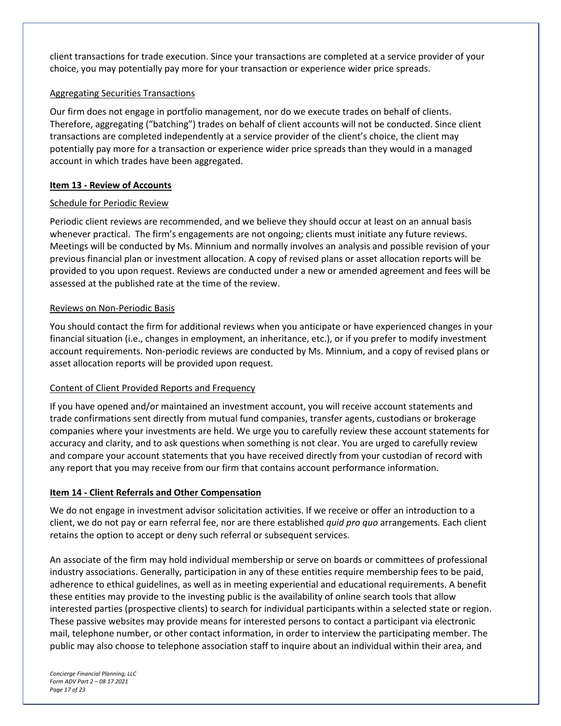client transactions for trade execution. Since your transactions are completed at a service provider of your choice, you may potentially pay more for your transaction or experience wider price spreads.

#### Aggregating Securities Transactions

Our firm does not engage in portfolio management, nor do we execute trades on behalf of clients. Therefore, aggregating ("batching") trades on behalf of client accounts will not be conducted. Since client transactions are completed independently at a service provider of the client's choice, the client may potentially pay more for a transaction or experience wider price spreads than they would in a managed account in which trades have been aggregated.

#### **Item 13 - Review of Accounts**

#### Schedule for Periodic Review

Periodic client reviews are recommended, and we believe they should occur at least on an annual basis whenever practical. The firm's engagements are not ongoing; clients must initiate any future reviews. Meetings will be conducted by Ms. Minnium and normally involves an analysis and possible revision of your previous financial plan or investment allocation. A copy of revised plans or asset allocation reports will be provided to you upon request. Reviews are conducted under a new or amended agreement and fees will be assessed at the published rate at the time of the review.

#### Reviews on Non-Periodic Basis

You should contact the firm for additional reviews when you anticipate or have experienced changes in your financial situation (i.e., changes in employment, an inheritance, etc.), or if you prefer to modify investment account requirements. Non-periodic reviews are conducted by Ms. Minnium, and a copy of revised plans or asset allocation reports will be provided upon request.

#### Content of Client Provided Reports and Frequency

If you have opened and/or maintained an investment account, you will receive account statements and trade confirmations sent directly from mutual fund companies, transfer agents, custodians or brokerage companies where your investments are held. We urge you to carefully review these account statements for accuracy and clarity, and to ask questions when something is not clear. You are urged to carefully review and compare your account statements that you have received directly from your custodian of record with any report that you may receive from our firm that contains account performance information.

#### **Item 14 - Client Referrals and Other Compensation**

We do not engage in investment advisor solicitation activities. If we receive or offer an introduction to a client, we do not pay or earn referral fee, nor are there established *quid pro quo* arrangements. Each client retains the option to accept or deny such referral or subsequent services.

An associate of the firm may hold individual membership or serve on boards or committees of professional industry associations. Generally, participation in any of these entities require membership fees to be paid, adherence to ethical guidelines, as well as in meeting experiential and educational requirements. A benefit these entities may provide to the investing public is the availability of online search tools that allow interested parties (prospective clients) to search for individual participants within a selected state or region. These passive websites may provide means for interested persons to contact a participant via electronic mail, telephone number, or other contact information, in order to interview the participating member. The public may also choose to telephone association staff to inquire about an individual within their area, and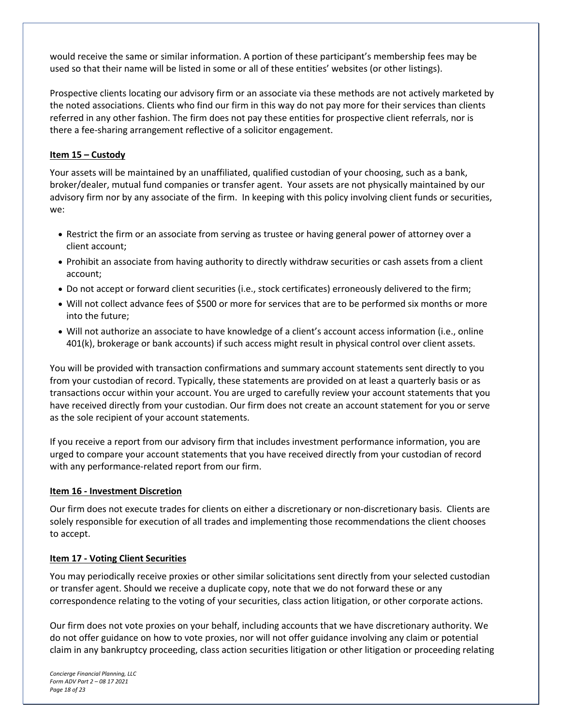would receive the same or similar information. A portion of these participant's membership fees may be used so that their name will be listed in some or all of these entities' websites (or other listings).

Prospective clients locating our advisory firm or an associate via these methods are not actively marketed by the noted associations. Clients who find our firm in this way do not pay more for their services than clients referred in any other fashion. The firm does not pay these entities for prospective client referrals, nor is there a fee-sharing arrangement reflective of a solicitor engagement.

#### **Item 15 – Custody**

Your assets will be maintained by an unaffiliated, qualified custodian of your choosing, such as a bank, broker/dealer, mutual fund companies or transfer agent. Your assets are not physically maintained by our advisory firm nor by any associate of the firm. In keeping with this policy involving client funds or securities, we:

- Restrict the firm or an associate from serving as trustee or having general power of attorney over a client account;
- Prohibit an associate from having authority to directly withdraw securities or cash assets from a client account;
- Do not accept or forward client securities (i.e., stock certificates) erroneously delivered to the firm;
- Will not collect advance fees of \$500 or more for services that are to be performed six months or more into the future;
- Will not authorize an associate to have knowledge of a client's account access information (i.e., online 401(k), brokerage or bank accounts) if such access might result in physical control over client assets.

You will be provided with transaction confirmations and summary account statements sent directly to you from your custodian of record. Typically, these statements are provided on at least a quarterly basis or as transactions occur within your account. You are urged to carefully review your account statements that you have received directly from your custodian. Our firm does not create an account statement for you or serve as the sole recipient of your account statements.

If you receive a report from our advisory firm that includes investment performance information, you are urged to compare your account statements that you have received directly from your custodian of record with any performance-related report from our firm.

#### **Item 16 - Investment Discretion**

Our firm does not execute trades for clients on either a discretionary or non-discretionary basis. Clients are solely responsible for execution of all trades and implementing those recommendations the client chooses to accept.

#### **Item 17 - Voting Client Securities**

You may periodically receive proxies or other similar solicitations sent directly from your selected custodian or transfer agent. Should we receive a duplicate copy, note that we do not forward these or any correspondence relating to the voting of your securities, class action litigation, or other corporate actions.

Our firm does not vote proxies on your behalf, including accounts that we have discretionary authority. We do not offer guidance on how to vote proxies, nor will not offer guidance involving any claim or potential claim in any bankruptcy proceeding, class action securities litigation or other litigation or proceeding relating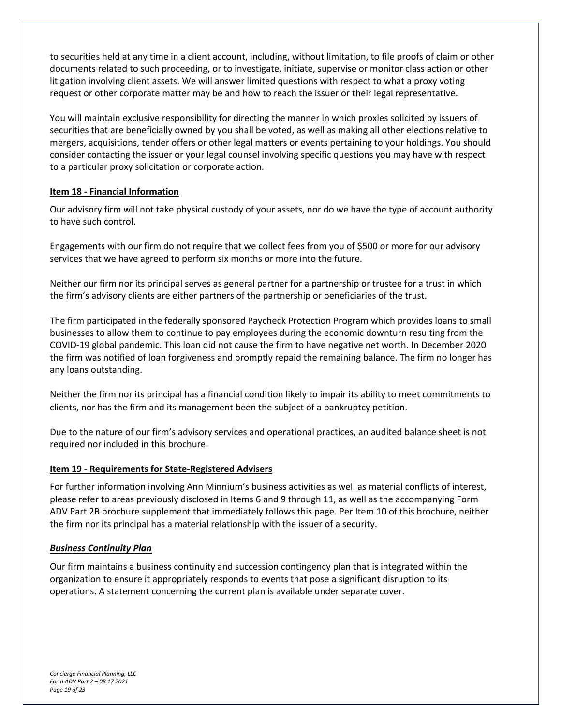to securities held at any time in a client account, including, without limitation, to file proofs of claim or other documents related to such proceeding, or to investigate, initiate, supervise or monitor class action or other litigation involving client assets. We will answer limited questions with respect to what a proxy voting request or other corporate matter may be and how to reach the issuer or their legal representative.

You will maintain exclusive responsibility for directing the manner in which proxies solicited by issuers of securities that are beneficially owned by you shall be voted, as well as making all other elections relative to mergers, acquisitions, tender offers or other legal matters or events pertaining to your holdings. You should consider contacting the issuer or your legal counsel involving specific questions you may have with respect to a particular proxy solicitation or corporate action.

#### **Item 18 - Financial Information**

Our advisory firm will not take physical custody of your assets, nor do we have the type of account authority to have such control.

Engagements with our firm do not require that we collect fees from you of \$500 or more for our advisory services that we have agreed to perform six months or more into the future.

Neither our firm nor its principal serves as general partner for a partnership or trustee for a trust in which the firm's advisory clients are either partners of the partnership or beneficiaries of the trust.

The firm participated in the federally sponsored Paycheck Protection Program which provides loans to small businesses to allow them to continue to pay employees during the economic downturn resulting from the COVID-19 global pandemic. This loan did not cause the firm to have negative net worth. In December 2020 the firm was notified of loan forgiveness and promptly repaid the remaining balance. The firm no longer has any loans outstanding.

Neither the firm nor its principal has a financial condition likely to impair its ability to meet commitments to clients, nor has the firm and its management been the subject of a bankruptcy petition.

Due to the nature of our firm's advisory services and operational practices, an audited balance sheet is not required nor included in this brochure.

#### **Item 19 - Requirements for State-Registered Advisers**

For further information involving Ann Minnium's business activities as well as material conflicts of interest, please refer to areas previously disclosed in Items 6 and 9 through 11, as well as the accompanying Form ADV Part 2B brochure supplement that immediately follows this page. Per Item 10 of this brochure, neither the firm nor its principal has a material relationship with the issuer of a security.

#### *Business Continuity Plan*

Our firm maintains a business continuity and succession contingency plan that is integrated within the organization to ensure it appropriately responds to events that pose a significant disruption to its operations. A statement concerning the current plan is available under separate cover.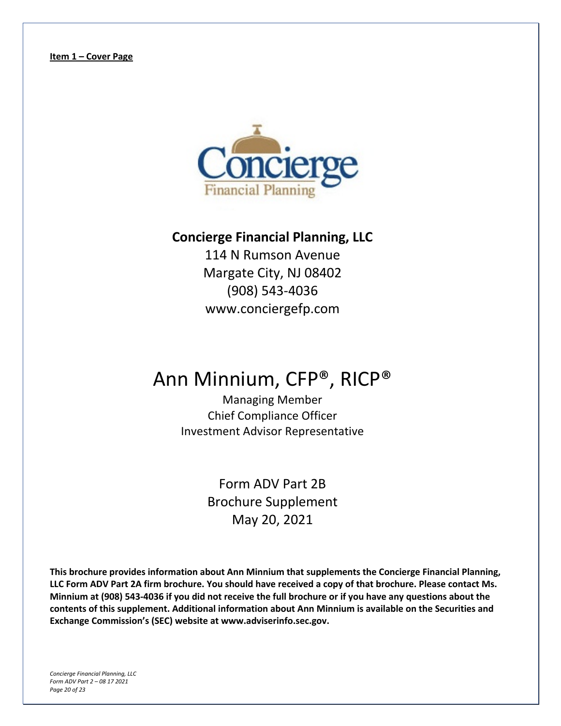

## **Concierge Financial Planning, LLC**

114 N Rumson Avenue Margate City, NJ 08402 (908) 543-4036 www.conciergefp.com

# Ann Minnium, CFP®, RICP®

Managing Member Chief Compliance Officer Investment Advisor Representative

> Form ADV Part 2B Brochure Supplement May 20, 2021

**This brochure provides information about Ann Minnium that supplements the Concierge Financial Planning, LLC Form ADV Part 2A firm brochure. You should have received a copy of that brochure. Please contact Ms. Minnium at (908) 543-4036 if you did not receive the full brochure or if you have any questions about the contents of this supplement. Additional information about Ann Minnium is available on the Securities and Exchange Commission's (SEC) website at www.adviserinfo.sec.gov.**

*Concierge Financial Planning, LLC Form ADV Part 2 – 08 17 2021 Page 20 of 23*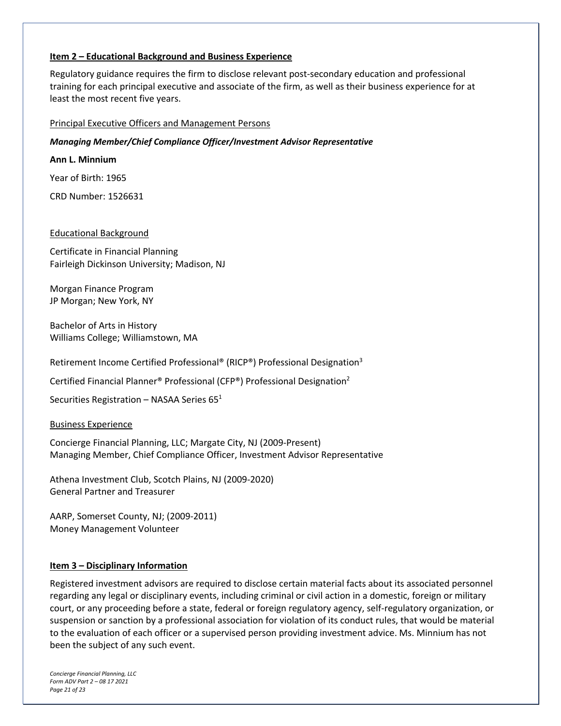#### **Item 2 – Educational Background and Business Experience**

Regulatory guidance requires the firm to disclose relevant post-secondary education and professional training for each principal executive and associate of the firm, as well as their business experience for at least the most recent five years.

#### Principal Executive Officers and Management Persons

*Managing Member/Chief Compliance Officer/Investment Advisor Representative*

**Ann L. Minnium**

Year of Birth: 1965

CRD Number: 1526631

#### Educational Background

Certificate in Financial Planning Fairleigh Dickinson University; Madison, NJ

Morgan Finance Program JP Morgan; New York, NY

Bachelor of Arts in History Williams College; Williamstown, MA

Retirement Income Certified Professional® (RICP®) Professional Designation3

Certified Financial Planner® Professional (CFP®) Professional Designation2

Securities Registration – NASAA Series  $65<sup>1</sup>$ 

Business Experience

Concierge Financial Planning, LLC; Margate City, NJ (2009-Present) Managing Member, Chief Compliance Officer, Investment Advisor Representative

Athena Investment Club, Scotch Plains, NJ (2009-2020) General Partner and Treasurer

AARP, Somerset County, NJ; (2009-2011) Money Management Volunteer

#### **Item 3 – Disciplinary Information**

Registered investment advisors are required to disclose certain material facts about its associated personnel regarding any legal or disciplinary events, including criminal or civil action in a domestic, foreign or military court, or any proceeding before a state, federal or foreign regulatory agency, self-regulatory organization, or suspension or sanction by a professional association for violation of its conduct rules, that would be material to the evaluation of each officer or a supervised person providing investment advice. Ms. Minnium has not been the subject of any such event.

*Concierge Financial Planning, LLC Form ADV Part 2 – 08 17 2021 Page 21 of 23*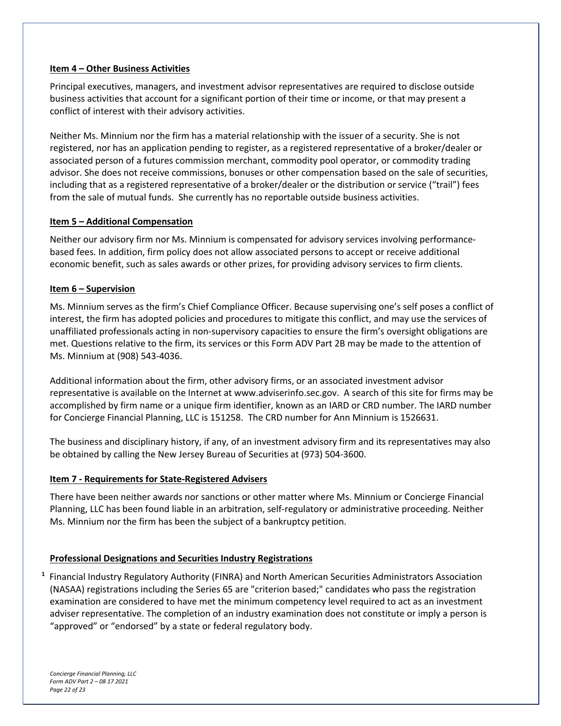#### **Item 4 – Other Business Activities**

Principal executives, managers, and investment advisor representatives are required to disclose outside business activities that account for a significant portion of their time or income, or that may present a conflict of interest with their advisory activities.

Neither Ms. Minnium nor the firm has a material relationship with the issuer of a security. She is not registered, nor has an application pending to register, as a registered representative of a broker/dealer or associated person of a futures commission merchant, commodity pool operator, or commodity trading advisor. She does not receive commissions, bonuses or other compensation based on the sale of securities, including that as a registered representative of a broker/dealer or the distribution or service ("trail") fees from the sale of mutual funds. She currently has no reportable outside business activities.

#### **Item 5 – Additional Compensation**

Neither our advisory firm nor Ms. Minnium is compensated for advisory services involving performancebased fees. In addition, firm policy does not allow associated persons to accept or receive additional economic benefit, such as sales awards or other prizes, for providing advisory services to firm clients.

#### **Item 6 – Supervision**

Ms. Minnium serves as the firm's Chief Compliance Officer. Because supervising one's self poses a conflict of interest, the firm has adopted policies and procedures to mitigate this conflict, and may use the services of unaffiliated professionals acting in non-supervisory capacities to ensure the firm's oversight obligations are met. Questions relative to the firm, its services or this Form ADV Part 2B may be made to the attention of Ms. Minnium at (908) 543-4036.

Additional information about the firm, other advisory firms, or an associated investment advisor representative is available on the Internet at www.adviserinfo.sec.gov. A search of this site for firms may be accomplished by firm name or a unique firm identifier, known as an IARD or CRD number. The IARD number for Concierge Financial Planning, LLC is 151258. The CRD number for Ann Minnium is 1526631.

The business and disciplinary history, if any, of an investment advisory firm and its representatives may also be obtained by calling the New Jersey Bureau of Securities at (973) 504-3600.

#### **Item 7 - Requirements for State-Registered Advisers**

There have been neither awards nor sanctions or other matter where Ms. Minnium or Concierge Financial Planning, LLC has been found liable in an arbitration, self-regulatory or administrative proceeding. Neither Ms. Minnium nor the firm has been the subject of a bankruptcy petition.

#### **Professional Designations and Securities Industry Registrations**

**1** Financial Industry Regulatory Authority (FINRA) and North American Securities Administrators Association (NASAA) registrations including the Series 65 are "criterion based;" candidates who pass the registration examination are considered to have met the minimum competency level required to act as an investment adviser representative. The completion of an industry examination does not constitute or imply a person is "approved" or "endorsed" by a state or federal regulatory body.